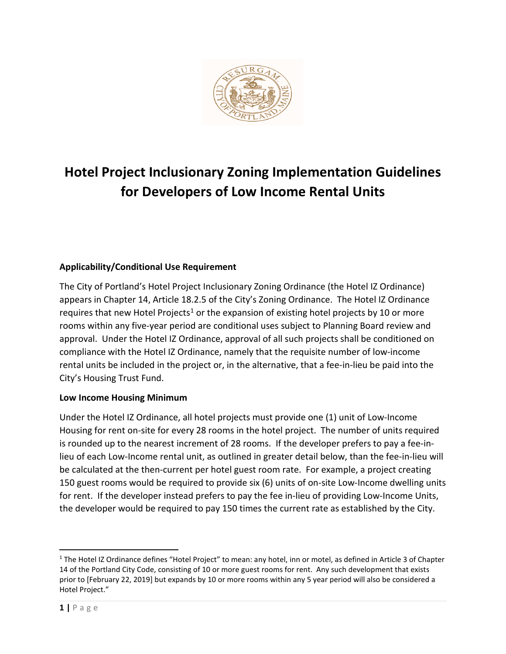

# **Hotel Project Inclusionary Zoning Implementation Guidelines for Developers of Low Income Rental Units**

# **Applicability/Conditional Use Requirement**

The City of Portland's Hotel Project Inclusionary Zoning Ordinance (the Hotel IZ Ordinance) appears in Chapter 14, Article 18.2.5 of the City's Zoning Ordinance. The Hotel IZ Ordinance requires that new Hotel Projects<sup>[1](#page-0-0)</sup> or the expansion of existing hotel projects by 10 or more rooms within any five-year period are conditional uses subject to Planning Board review and approval. Under the Hotel IZ Ordinance, approval of all such projects shall be conditioned on compliance with the Hotel IZ Ordinance, namely that the requisite number of low-income rental units be included in the project or, in the alternative, that a fee-in-lieu be paid into the City's Housing Trust Fund.

# **Low Income Housing Minimum**

Under the Hotel IZ Ordinance, all hotel projects must provide one (1) unit of Low-Income Housing for rent on-site for every 28 rooms in the hotel project. The number of units required is rounded up to the nearest increment of 28 rooms. If the developer prefers to pay a fee-inlieu of each Low-Income rental unit, as outlined in greater detail below, than the fee-in-lieu will be calculated at the then-current per hotel guest room rate. For example, a project creating 150 guest rooms would be required to provide six (6) units of on-site Low-Income dwelling units for rent. If the developer instead prefers to pay the fee in-lieu of providing Low-Income Units, the developer would be required to pay 150 times the current rate as established by the City.

<span id="page-0-0"></span><sup>&</sup>lt;sup>1</sup> The Hotel IZ Ordinance defines "Hotel Project" to mean: any hotel, inn or motel, as defined in Article 3 of Chapter 14 of the Portland City Code, consisting of 10 or more guest rooms for rent. Any such development that exists prior to [February 22, 2019] but expands by 10 or more rooms within any 5 year period will also be considered a Hotel Project."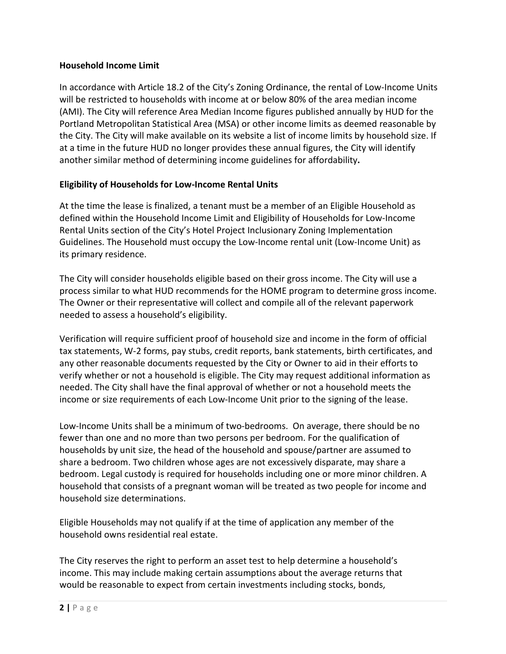## **Household Income Limit**

In accordance with Article 18.2 of the City's Zoning Ordinance, the rental of Low-Income Units will be restricted to households with income at or below 80% of the area median income (AMI). The City will reference Area Median Income figures published annually by HUD for the Portland Metropolitan Statistical Area (MSA) or other income limits as deemed reasonable by the City. The City will make available on its website a list of income limits by household size. If at a time in the future HUD no longer provides these annual figures, the City will identify another similar method of determining income guidelines for affordability**.**

## **Eligibility of Households for Low-Income Rental Units**

At the time the lease is finalized, a tenant must be a member of an Eligible Household as defined within the Household Income Limit and Eligibility of Households for Low-Income Rental Units section of the City's Hotel Project Inclusionary Zoning Implementation Guidelines. The Household must occupy the Low-Income rental unit (Low-Income Unit) as its primary residence.

The City will consider households eligible based on their gross income. The City will use a process similar to what HUD recommends for the HOME program to determine gross income. The Owner or their representative will collect and compile all of the relevant paperwork needed to assess a household's eligibility.

Verification will require sufficient proof of household size and income in the form of official tax statements, W-2 forms, pay stubs, credit reports, bank statements, birth certificates, and any other reasonable documents requested by the City or Owner to aid in their efforts to verify whether or not a household is eligible. The City may request additional information as needed. The City shall have the final approval of whether or not a household meets the income or size requirements of each Low-Income Unit prior to the signing of the lease.

Low-Income Units shall be a minimum of two-bedrooms. On average, there should be no fewer than one and no more than two persons per bedroom. For the qualification of households by unit size, the head of the household and spouse/partner are assumed to share a bedroom. Two children whose ages are not excessively disparate, may share a bedroom. Legal custody is required for households including one or more minor children. A household that consists of a pregnant woman will be treated as two people for income and household size determinations.

Eligible Households may not qualify if at the time of application any member of the household owns residential real estate.

The City reserves the right to perform an asset test to help determine a household's income. This may include making certain assumptions about the average returns that would be reasonable to expect from certain investments including stocks, bonds,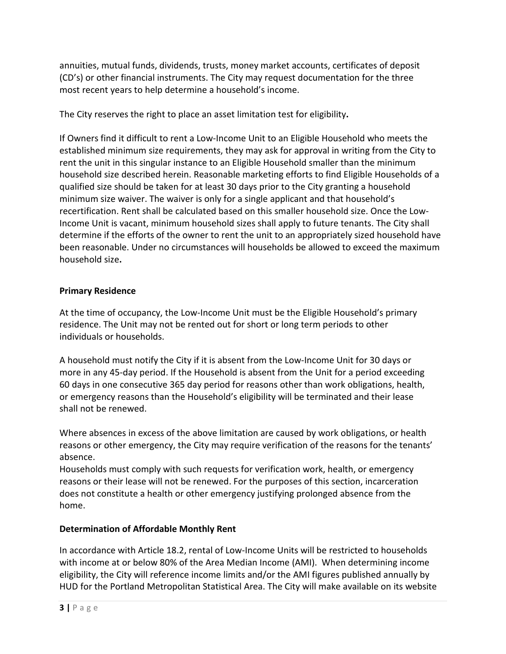annuities, mutual funds, dividends, trusts, money market accounts, certificates of deposit (CD's) or other financial instruments. The City may request documentation for the three most recent years to help determine a household's income.

The City reserves the right to place an asset limitation test for eligibility**.**

If Owners find it difficult to rent a Low-Income Unit to an Eligible Household who meets the established minimum size requirements, they may ask for approval in writing from the City to rent the unit in this singular instance to an Eligible Household smaller than the minimum household size described herein. Reasonable marketing efforts to find Eligible Households of a qualified size should be taken for at least 30 days prior to the City granting a household minimum size waiver. The waiver is only for a single applicant and that household's recertification. Rent shall be calculated based on this smaller household size. Once the Low-Income Unit is vacant, minimum household sizes shall apply to future tenants. The City shall determine if the efforts of the owner to rent the unit to an appropriately sized household have been reasonable. Under no circumstances will households be allowed to exceed the maximum household size**.**

# **Primary Residence**

At the time of occupancy, the Low-Income Unit must be the Eligible Household's primary residence. The Unit may not be rented out for short or long term periods to other individuals or households.

A household must notify the City if it is absent from the Low-Income Unit for 30 days or more in any 45-day period. If the Household is absent from the Unit for a period exceeding 60 days in one consecutive 365 day period for reasons other than work obligations, health, or emergency reasons than the Household's eligibility will be terminated and their lease shall not be renewed.

Where absences in excess of the above limitation are caused by work obligations, or health reasons or other emergency, the City may require verification of the reasons for the tenants' absence.

Households must comply with such requests for verification work, health, or emergency reasons or their lease will not be renewed. For the purposes of this section, incarceration does not constitute a health or other emergency justifying prolonged absence from the home.

# **Determination of Affordable Monthly Rent**

In accordance with Article 18.2, rental of Low-Income Units will be restricted to households with income at or below 80% of the Area Median Income (AMI). When determining income eligibility, the City will reference income limits and/or the AMI figures published annually by HUD for the Portland Metropolitan Statistical Area. The City will make available on its website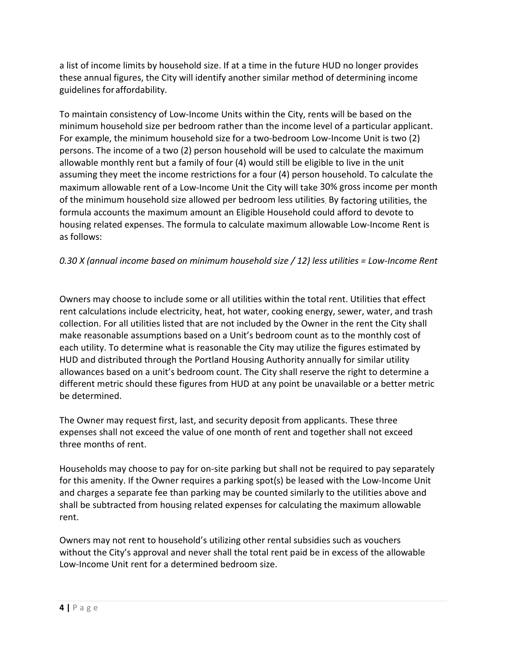a list of income limits by household size. If at a time in the future HUD no longer provides these annual figures, the City will identify another similar method of determining income guidelines foraffordability.

To maintain consistency of Low-Income Units within the City, rents will be based on the minimum household size per bedroom rather than the income level of a particular applicant. For example, the minimum household size for a two-bedroom Low-Income Unit is two (2) persons. The income of a two (2) person household will be used to calculate the maximum allowable monthly rent but a family of four (4) would still be eligible to live in the unit assuming they meet the income restrictions for a four (4) person household. To calculate the maximum allowable rent of a Low-Income Unit the City will take 30% gross income per month of the minimum household size allowed per bedroom less utilities. By factoring utilities, the formula accounts the maximum amount an Eligible Household could afford to devote to housing related expenses. The formula to calculate maximum allowable Low-Income Rent is as follows:

# *0.30 X (annual income based on minimum household size / 12) less utilities = Low-Income Rent*

Owners may choose to include some or all utilities within the total rent. Utilities that effect rent calculations include electricity, heat, hot water, cooking energy, sewer, water, and trash collection. For all utilities listed that are not included by the Owner in the rent the City shall make reasonable assumptions based on a Unit's bedroom count as to the monthly cost of each utility. To determine what is reasonable the City may utilize the figures estimated by HUD and distributed through the Portland Housing Authority annually for similar utility allowances based on a unit's bedroom count. The City shall reserve the right to determine a different metric should these figures from HUD at any point be unavailable or a better metric be determined.

The Owner may request first, last, and security deposit from applicants. These three expenses shall not exceed the value of one month of rent and together shall not exceed three months of rent.

Households may choose to pay for on-site parking but shall not be required to pay separately for this amenity. If the Owner requires a parking spot(s) be leased with the Low-Income Unit and charges a separate fee than parking may be counted similarly to the utilities above and shall be subtracted from housing related expenses for calculating the maximum allowable rent.

Owners may not rent to household's utilizing other rental subsidies such as vouchers without the City's approval and never shall the total rent paid be in excess of the allowable Low-Income Unit rent for a determined bedroom size.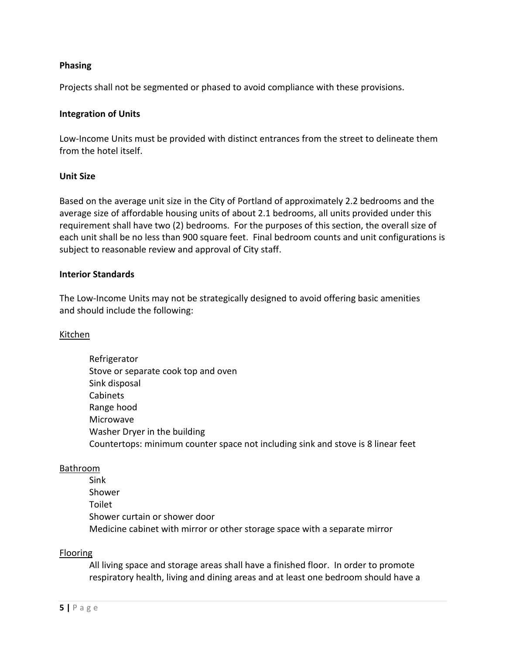#### **Phasing**

Projects shall not be segmented or phased to avoid compliance with these provisions.

#### **Integration of Units**

Low-Income Units must be provided with distinct entrances from the street to delineate them from the hotel itself.

#### **Unit Size**

Based on the average unit size in the City of Portland of approximately 2.2 bedrooms and the average size of affordable housing units of about 2.1 bedrooms, all units provided under this requirement shall have two (2) bedrooms. For the purposes of this section, the overall size of each unit shall be no less than 900 square feet. Final bedroom counts and unit configurations is subject to reasonable review and approval of City staff.

#### **Interior Standards**

The Low-Income Units may not be strategically designed to avoid offering basic amenities and should include the following:

#### Kitchen

Refrigerator Stove or separate cook top and oven Sink disposal Cabinets Range hood Microwave Washer Dryer in the building Countertops: minimum counter space not including sink and stove is 8 linear feet

#### Bathroom

Sink Shower Toilet Shower curtain or shower door Medicine cabinet with mirror or other storage space with a separate mirror

#### Flooring

All living space and storage areas shall have a finished floor. In order to promote respiratory health, living and dining areas and at least one bedroom should have a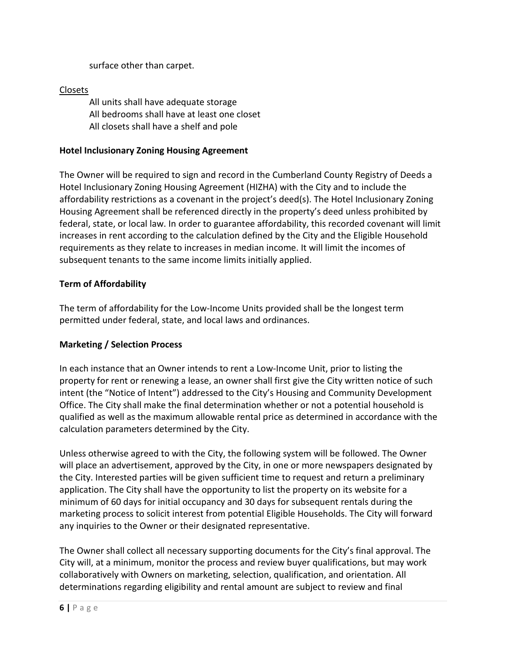surface other than carpet.

# Closets

All units shall have adequate storage All bedrooms shall have at least one closet All closets shall have a shelf and pole

# **Hotel Inclusionary Zoning Housing Agreement**

The Owner will be required to sign and record in the Cumberland County Registry of Deeds a Hotel Inclusionary Zoning Housing Agreement (HIZHA) with the City and to include the affordability restrictions as a covenant in the project's deed(s). The Hotel Inclusionary Zoning Housing Agreement shall be referenced directly in the property's deed unless prohibited by federal, state, or local law. In order to guarantee affordability, this recorded covenant will limit increases in rent according to the calculation defined by the City and the Eligible Household requirements as they relate to increases in median income. It will limit the incomes of subsequent tenants to the same income limits initially applied.

# **Term of Affordability**

The term of affordability for the Low-Income Units provided shall be the longest term permitted under federal, state, and local laws and ordinances.

# **Marketing / Selection Process**

In each instance that an Owner intends to rent a Low-Income Unit, prior to listing the property for rent or renewing a lease, an owner shall first give the City written notice of such intent (the "Notice of Intent") addressed to the City's Housing and Community Development Office. The City shall make the final determination whether or not a potential household is qualified as well as the maximum allowable rental price as determined in accordance with the calculation parameters determined by the City.

Unless otherwise agreed to with the City, the following system will be followed. The Owner will place an advertisement, approved by the City, in one or more newspapers designated by the City. Interested parties will be given sufficient time to request and return a preliminary application. The City shall have the opportunity to list the property on its website for a minimum of 60 days for initial occupancy and 30 days for subsequent rentals during the marketing process to solicit interest from potential Eligible Households. The City will forward any inquiries to the Owner or their designated representative.

The Owner shall collect all necessary supporting documents for the City's final approval. The City will, at a minimum, monitor the process and review buyer qualifications, but may work collaboratively with Owners on marketing, selection, qualification, and orientation. All determinations regarding eligibility and rental amount are subject to review and final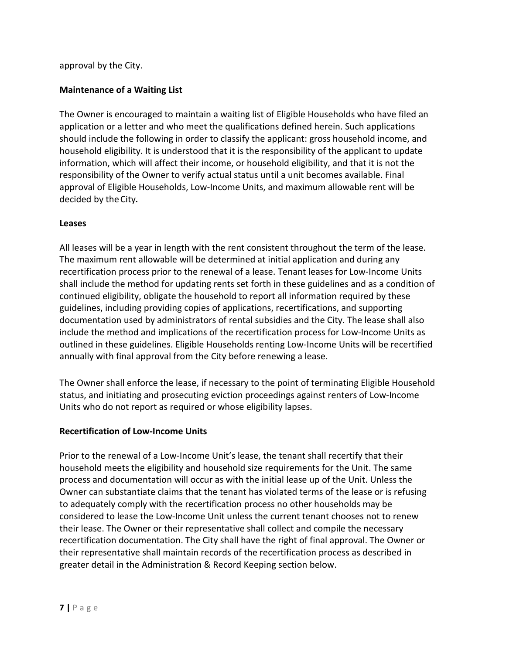## approval by the City.

## **Maintenance of a Waiting List**

The Owner is encouraged to maintain a waiting list of Eligible Households who have filed an application or a letter and who meet the qualifications defined herein. Such applications should include the following in order to classify the applicant: gross household income, and household eligibility. It is understood that it is the responsibility of the applicant to update information, which will affect their income, or household eligibility, and that it is not the responsibility of the Owner to verify actual status until a unit becomes available. Final approval of Eligible Households, Low-Income Units, and maximum allowable rent will be decided by the City.

#### **Leases**

All leases will be a year in length with the rent consistent throughout the term of the lease. The maximum rent allowable will be determined at initial application and during any recertification process prior to the renewal of a lease. Tenant leases for Low-Income Units shall include the method for updating rents set forth in these guidelines and as a condition of continued eligibility, obligate the household to report all information required by these guidelines, including providing copies of applications, recertifications, and supporting documentation used by administrators of rental subsidies and the City. The lease shall also include the method and implications of the recertification process for Low-Income Units as outlined in these guidelines. Eligible Households renting Low-Income Units will be recertified annually with final approval from the City before renewing a lease.

The Owner shall enforce the lease, if necessary to the point of terminating Eligible Household status, and initiating and prosecuting eviction proceedings against renters of Low-Income Units who do not report as required or whose eligibility lapses.

#### **Recertification of Low-Income Units**

Prior to the renewal of a Low-Income Unit's lease, the tenant shall recertify that their household meets the eligibility and household size requirements for the Unit. The same process and documentation will occur as with the initial lease up of the Unit. Unless the Owner can substantiate claims that the tenant has violated terms of the lease or is refusing to adequately comply with the recertification process no other households may be considered to lease the Low-Income Unit unless the current tenant chooses not to renew their lease. The Owner or their representative shall collect and compile the necessary recertification documentation. The City shall have the right of final approval. The Owner or their representative shall maintain records of the recertification process as described in greater detail in the Administration & Record Keeping section below.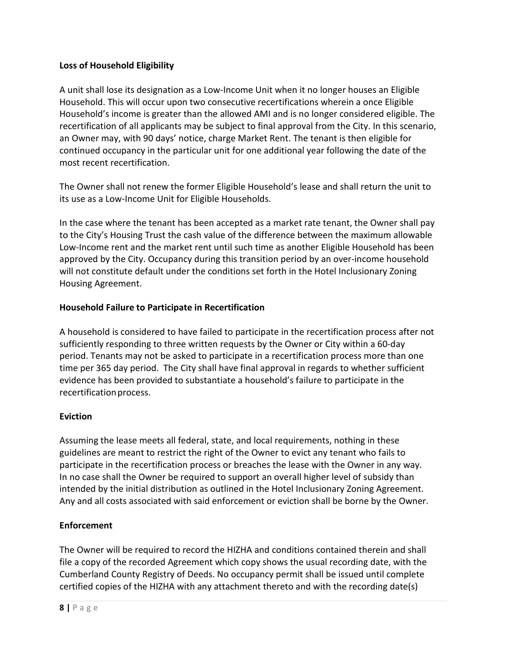# **Loss of Household Eligibility**

A unit shall lose its designation as a Low-Income Unit when it no longer houses an Eligible Household. This will occur upon two consecutive recertifications wherein a once Eligible Household's income is greater than the allowed AMI and is no longer considered eligible. The recertification of all applicants may be subject to final approval from the City. In this scenario, an Owner may, with 90 days' notice, charge Market Rent. The tenant is then eligible for continued occupancy in the particular unit for one additional year following the date of the most recent recertification.

The Owner shall not renew the former Eligible Household's lease and shall return the unit to its use as a Low-Income Unit for Eligible Households.

In the case where the tenant has been accepted as a market rate tenant, the Owner shall pay to the City's Housing Trust the cash value of the difference between the maximum allowable Low-Income rent and the market rent until such time as another Eligible Household has been approved by the City. Occupancy during this transition period by an over-income household will not constitute default under the conditions set forth in the Hotel Inclusionary Zoning Housing Agreement.

# **Household Failure to Participate in Recertification**

A household is considered to have failed to participate in the recertification process after not sufficiently responding to three written requests by the Owner or City within a 60-day period. Tenants may not be asked to participate in a recertification process more than one time per 365 day period. The City shall have final approval in regards to whether sufficient evidence has been provided to substantiate a household's failure to participate in the recertification process.

# **Eviction**

Assuming the lease meets all federal, state, and local requirements, nothing in these guidelines are meant to restrict the right of the Owner to evict any tenant who fails to participate in the recertification process or breaches the lease with the Owner in any way. In no case shall the Owner be required to support an overall higher level of subsidy than intended by the initial distribution as outlined in the Hotel Inclusionary Zoning Agreement. Any and all costs associated with said enforcement or eviction shall be borne by the Owner.

# **Enforcement**

The Owner will be required to record the HIZHA and conditions contained therein and shall file a copy of the recorded Agreement which copy shows the usual recording date, with the Cumberland County Registry of Deeds. No occupancy permit shall be issued until complete certified copies of the HIZHA with any attachment thereto and with the recording date(s)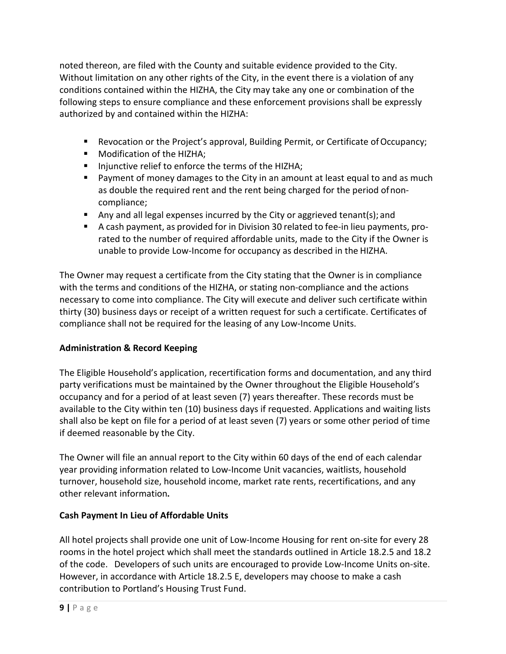noted thereon, are filed with the County and suitable evidence provided to the City. Without limitation on any other rights of the City, in the event there is a violation of any conditions contained within the HIZHA, the City may take any one or combination of the following steps to ensure compliance and these enforcement provisions shall be expressly authorized by and contained within the HIZHA:

- Revocation or the Project's approval, Building Permit, or Certificate ofOccupancy;
- **Modification of the HIZHA;**
- Injunctive relief to enforce the terms of the HIZHA;
- Payment of money damages to the City in an amount at least equal to and as much as double the required rent and the rent being charged for the period ofnoncompliance;
- Any and all legal expenses incurred by the City or aggrieved tenant(s); and
- A cash payment, as provided for in Division 30 related to fee-in lieu payments, prorated to the number of required affordable units, made to the City if the Owner is unable to provide Low-Income for occupancy as described in the HIZHA.

The Owner may request a certificate from the City stating that the Owner is in compliance with the terms and conditions of the HIZHA, or stating non-compliance and the actions necessary to come into compliance. The City will execute and deliver such certificate within thirty (30) business days or receipt of a written request for such a certificate. Certificates of compliance shall not be required for the leasing of any Low-Income Units.

# **Administration & Record Keeping**

The Eligible Household's application, recertification forms and documentation, and any third party verifications must be maintained by the Owner throughout the Eligible Household's occupancy and for a period of at least seven (7) years thereafter. These records must be available to the City within ten (10) business days if requested. Applications and waiting lists shall also be kept on file for a period of at least seven (7) years or some other period of time if deemed reasonable by the City.

The Owner will file an annual report to the City within 60 days of the end of each calendar year providing information related to Low-Income Unit vacancies, waitlists, household turnover, household size, household income, market rate rents, recertifications, and any other relevant information.

# **Cash Payment In Lieu of Affordable Units**

All hotel projects shall provide one unit of Low-Income Housing for rent on-site for every 28 rooms in the hotel project which shall meet the standards outlined in Article 18.2.5 and 18.2 of the code. Developers of such units are encouraged to provide Low-Income Units on-site. However, in accordance with Article 18.2.5 E, developers may choose to make a cash contribution to Portland's Housing Trust Fund.